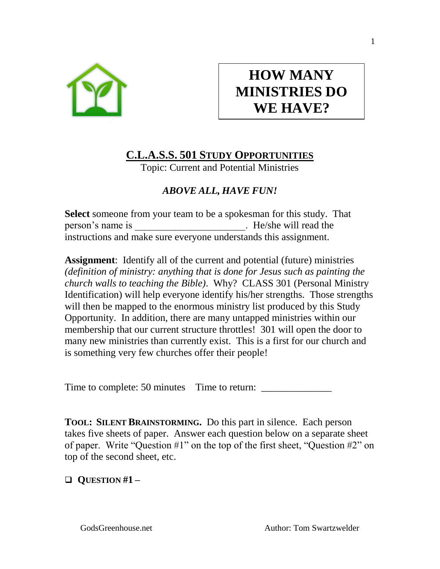

# **HOW MANY MINISTRIES DO WE HAVE?**

# **C.L.A.S.S. 501 STUDY OPPORTUNITIES**

Topic: Current and Potential Ministries

## *ABOVE ALL, HAVE FUN!*

**Select** someone from your team to be a spokesman for this study. That person's name is example is the He/she will read the instructions and make sure everyone understands this assignment.

**Assignment**: Identify all of the current and potential (future) ministries *(definition of ministry: anything that is done for Jesus such as painting the church walls to teaching the Bible)*. Why? CLASS 301 (Personal Ministry Identification) will help everyone identify his/her strengths. Those strengths will then be mapped to the enormous ministry list produced by this Study Opportunity. In addition, there are many untapped ministries within our membership that our current structure throttles! 301 will open the door to many new ministries than currently exist. This is a first for our church and is something very few churches offer their people!

Time to complete: 50 minutes Time to return:

**TOOL: SILENT BRAINSTORMING.** Do this part in silence. Each person takes five sheets of paper. Answer each question below on a separate sheet of paper. Write "Question #1" on the top of the first sheet, "Question #2" on top of the second sheet, etc.

❑ **QUESTION #1 –**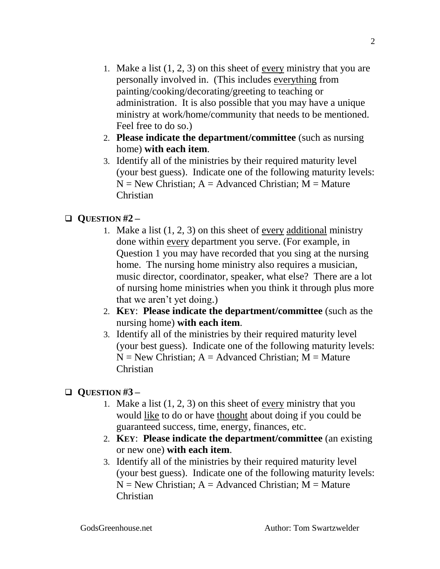- 1. Make a list (1, 2, 3) on this sheet of every ministry that you are personally involved in. (This includes everything from painting/cooking/decorating/greeting to teaching or administration. It is also possible that you may have a unique ministry at work/home/community that needs to be mentioned. Feel free to do so.)
- 2. **Please indicate the department/committee** (such as nursing home) **with each item**.
- 3. Identify all of the ministries by their required maturity level (your best guess). Indicate one of the following maturity levels:  $N = New Christian: A = Advanced Christian: M = Nature$ Christian

#### ❑ **QUESTION #2 –**

- 1. Make a list  $(1, 2, 3)$  on this sheet of every additional ministry done within every department you serve. (For example, in Question 1 you may have recorded that you sing at the nursing home. The nursing home ministry also requires a musician, music director, coordinator, speaker, what else? There are a lot of nursing home ministries when you think it through plus more that we aren't yet doing.)
- 2. **KEY**: **Please indicate the department/committee** (such as the nursing home) **with each item**.
- 3. Identify all of the ministries by their required maturity level (your best guess). Indicate one of the following maturity levels:  $N = New Christian: A = Advanced Christian: M = Nature$ Christian

### ❑ **QUESTION #3 –**

- 1. Make a list (1, 2, 3) on this sheet of every ministry that you would like to do or have thought about doing if you could be guaranteed success, time, energy, finances, etc.
- 2. **KEY**: **Please indicate the department/committee** (an existing or new one) **with each item**.
- 3. Identify all of the ministries by their required maturity level (your best guess). Indicate one of the following maturity levels:  $N = New Christian$ ;  $A = Advanced Christian$ ;  $M = Nature$ Christian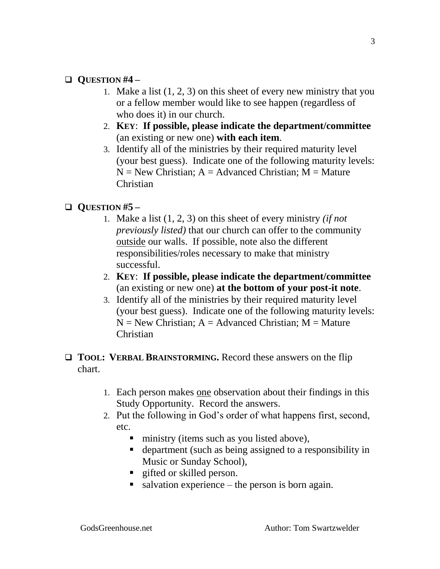#### ❑ **QUESTION #4 –**

- 1. Make a list (1, 2, 3) on this sheet of every new ministry that you or a fellow member would like to see happen (regardless of who does it) in our church.
- 2. **KEY**: **If possible, please indicate the department/committee** (an existing or new one) **with each item**.
- 3. Identify all of the ministries by their required maturity level (your best guess). Indicate one of the following maturity levels:  $N = New Christian: A = Advanced Christian: M = Nature$ Christian

#### ❑ **QUESTION #5 –**

- 1. Make a list (1, 2, 3) on this sheet of every ministry *(if not previously listed)* that our church can offer to the community outside our walls. If possible, note also the different responsibilities/roles necessary to make that ministry successful.
- 2. **KEY**: **If possible, please indicate the department/committee** (an existing or new one) **at the bottom of your post-it note**.
- 3. Identify all of the ministries by their required maturity level (your best guess). Indicate one of the following maturity levels:  $N = New Christian$ ;  $A = Advanced Christian$ ;  $M = Nature$ Christian
- ❑ **TOOL: VERBAL BRAINSTORMING.** Record these answers on the flip chart.
	- 1. Each person makes one observation about their findings in this Study Opportunity. Record the answers.
	- 2. Put the following in God's order of what happens first, second, etc.
		- ministry (items such as you listed above),
		- department (such as being assigned to a responsibility in Music or Sunday School),
		- **E** gifted or skilled person.
		- $\blacksquare$  salvation experience the person is born again.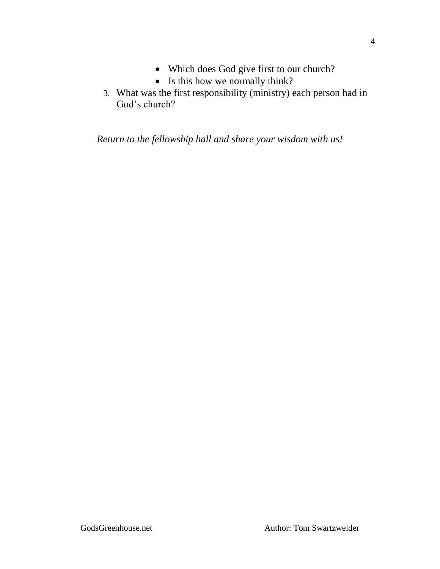- Which does God give first to our church?
- Is this how we normally think?
- 3. What was the first responsibility (ministry) each person had in God's church?

*Return to the fellowship hall and share your wisdom with us!*